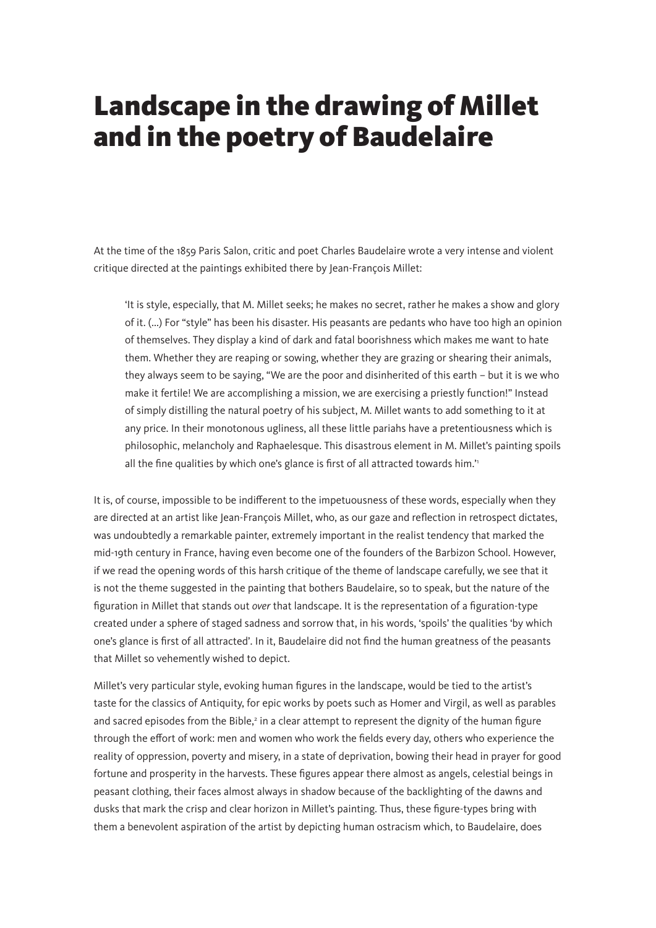## Landscape in the drawing of Millet and in the poetry of Baudelaire

At the time of the 1859 Paris Salon, critic and poet Charles Baudelaire wrote a very intense and violent critique directed at the paintings exhibited there by Jean-François Millet:

'It is style, especially, that M. Millet seeks; he makes no secret, rather he makes a show and glory of it. (...) For "style" has been his disaster. His peasants are pedants who have too high an opinion of themselves. They display a kind of dark and fatal boorishness which makes me want to hate them. Whether they are reaping or sowing, whether they are grazing or shearing their animals, they always seem to be saying, "We are the poor and disinherited of this earth – but it is we who make it fertile! We are accomplishing a mission, we are exercising a priestly function!" Instead of simply distilling the natural poetry of his subject, M. Millet wants to add something to it at any price. In their monotonous ugliness, all these little pariahs have a pretentiousness which is philosophic, melancholy and Raphaelesque. This disastrous element in M. Millet's painting spoils all the fine qualities by which one's glance is first of all attracted towards him."

It is, of course, impossible to be indifferent to the impetuousness of these words, especially when they are directed at an artist like Jean-François Millet, who, as our gaze and reflection in retrospect dictates, was undoubtedly a remarkable painter, extremely important in the realist tendency that marked the mid-19th century in France, having even become one of the founders of the Barbizon School. However, if we read the opening words of this harsh critique of the theme of landscape carefully, we see that it is not the theme suggested in the painting that bothers Baudelaire, so to speak, but the nature of the figuration in Millet that stands out *over* that landscape. It is the representation of a figuration-type created under a sphere of staged sadness and sorrow that, in his words, 'spoils' the qualities 'by which one's glance is first of all attracted'. In it, Baudelaire did not find the human greatness of the peasants that Millet so vehemently wished to depict.

Millet's very particular style, evoking human figures in the landscape, would be tied to the artist's taste for the classics of Antiquity, for epic works by poets such as Homer and Virgil, as well as parables and sacred episodes from the Bible,<sup>2</sup> in a clear attempt to represent the dignity of the human figure through the effort of work: men and women who work the fields every day, others who experience the reality of oppression, poverty and misery, in a state of deprivation, bowing their head in prayer for good fortune and prosperity in the harvests. These figures appear there almost as angels, celestial beings in peasant clothing, their faces almost always in shadow because of the backlighting of the dawns and dusks that mark the crisp and clear horizon in Millet's painting. Thus, these figure-types bring with them a benevolent aspiration of the artist by depicting human ostracism which, to Baudelaire, does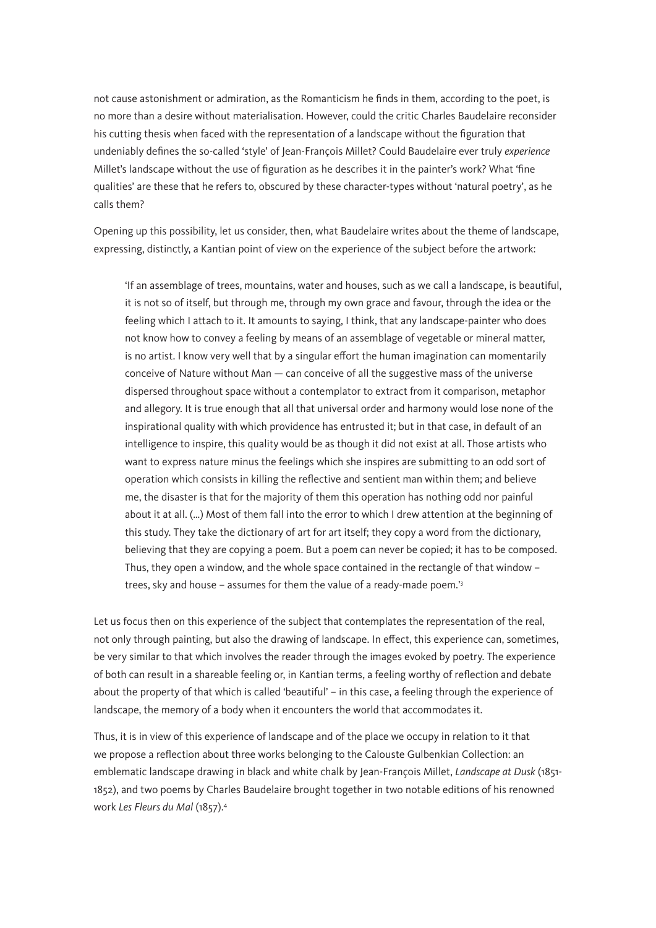not cause astonishment or admiration, as the Romanticism he finds in them, according to the poet, is no more than a desire without materialisation. However, could the critic Charles Baudelaire reconsider his cutting thesis when faced with the representation of a landscape without the figuration that undeniably defines the so-called 'style' of Jean-François Millet? Could Baudelaire ever truly *experience* Millet's landscape without the use of figuration as he describes it in the painter's work? What 'fine qualities' are these that he refers to, obscured by these character-types without 'natural poetry', as he calls them?

Opening up this possibility, let us consider, then, what Baudelaire writes about the theme of landscape, expressing, distinctly, a Kantian point of view on the experience of the subject before the artwork:

'If an assemblage of trees, mountains, water and houses, such as we call a landscape, is beautiful, it is not so of itself, but through me, through my own grace and favour, through the idea or the feeling which I attach to it. It amounts to saying, I think, that any landscape-painter who does not know how to convey a feeling by means of an assemblage of vegetable or mineral matter, is no artist. I know very well that by a singular effort the human imagination can momentarily conceive of Nature without Man — can conceive of all the suggestive mass of the universe dispersed throughout space without a contemplator to extract from it comparison, metaphor and allegory. It is true enough that all that universal order and harmony would lose none of the inspirational quality with which providence has entrusted it; but in that case, in default of an intelligence to inspire, this quality would be as though it did not exist at all. Those artists who want to express nature minus the feelings which she inspires are submitting to an odd sort of operation which consists in killing the reflective and sentient man within them; and believe me, the disaster is that for the majority of them this operation has nothing odd nor painful about it at all. (…) Most of them fall into the error to which I drew attention at the beginning of this study. They take the dictionary of art for art itself; they copy a word from the dictionary, believing that they are copying a poem. But a poem can never be copied; it has to be composed. Thus, they open a window, and the whole space contained in the rectangle of that window – trees, sky and house – assumes for them the value of a ready-made poem.'3

Let us focus then on this experience of the subject that contemplates the representation of the real, not only through painting, but also the drawing of landscape. In effect, this experience can, sometimes, be very similar to that which involves the reader through the images evoked by poetry. The experience of both can result in a shareable feeling or, in Kantian terms, a feeling worthy of reflection and debate about the property of that which is called 'beautiful' – in this case, a feeling through the experience of landscape, the memory of a body when it encounters the world that accommodates it.

Thus, it is in view of this experience of landscape and of the place we occupy in relation to it that we propose a reflection about three works belonging to the Calouste Gulbenkian Collection: an emblematic landscape drawing in black and white chalk by Jean-François Millet, *Landscape at Dusk* (1851- 1852), and two poems by Charles Baudelaire brought together in two notable editions of his renowned work *Les Fleurs du Mal* (1857).4